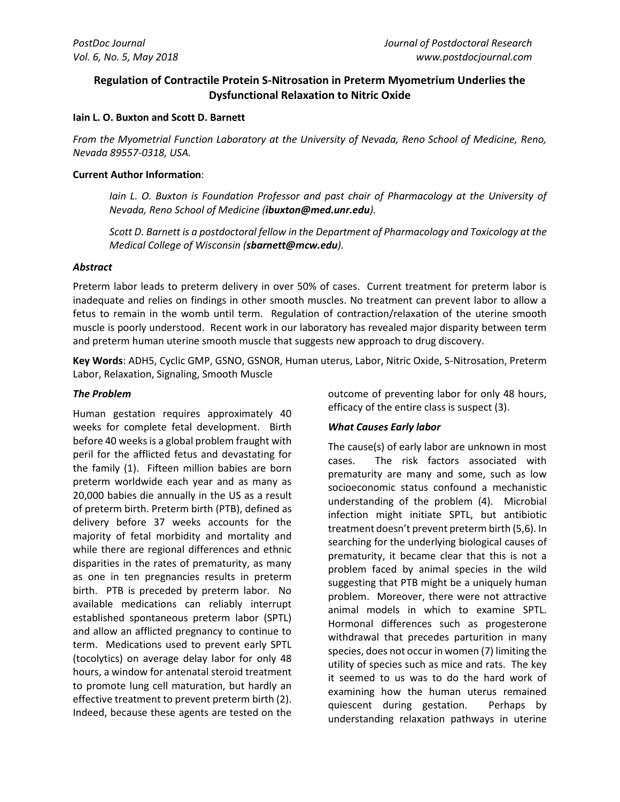# **Regulation of Contractile Protein S-Nitrosation in Preterm Myometrium Underlies the Dysfunctional Relaxation to Nitric Oxide**

#### **Iain L. O. Buxton and Scott D. Barnett**

*From the Myometrial Function Laboratory at the University of Nevada, Reno School of Medicine, Reno, Nevada 89557-0318, USA.*

### **Current Author Information**:

*Iain L. O. Buxton is Foundation Professor and past chair of Pharmacology at the University of Nevada, Reno School of Medicine (ibuxton@med.unr.edu).*

*Scott D. Barnett is a postdoctoral fellow in the Department of Pharmacology and Toxicology at the Medical College of Wisconsin (sbarnett@mcw.edu).*

## *Abstract*

Preterm labor leads to preterm delivery in over 50% of cases. Current treatment for preterm labor is inadequate and relies on findings in other smooth muscles. No treatment can prevent labor to allow a fetus to remain in the womb until term. Regulation of contraction/relaxation of the uterine smooth muscle is poorly understood. Recent work in our laboratory has revealed major disparity between term and preterm human uterine smooth muscle that suggests new approach to drug discovery.

**Key Words**: ADH5, Cyclic GMP, GSNO, GSNOR, Human uterus, Labor, Nitric Oxide, S-Nitrosation, Preterm Labor, Relaxation, Signaling, Smooth Muscle

### *The Problem*

Human gestation requires approximately 40 weeks for complete fetal development. Birth before 40 weeks is a global problem fraught with peril for the afflicted fetus and devastating for the family (1). Fifteen million babies are born preterm worldwide each year and as many as 20,000 babies die annually in the US as a result of preterm birth. Preterm birth (PTB), defined as delivery before 37 weeks accounts for the majority of fetal morbidity and mortality and while there are regional differences and ethnic disparities in the rates of prematurity, as many as one in ten pregnancies results in preterm birth. PTB is preceded by preterm labor. No available medications can reliably interrupt established spontaneous preterm labor (SPTL) and allow an afflicted pregnancy to continue to term. Medications used to prevent early SPTL (tocolytics) on average delay labor for only 48 hours, a window for antenatal steroid treatment to promote lung cell maturation, but hardly an effective treatment to prevent preterm birth (2). Indeed, because these agents are tested on the

outcome of preventing labor for only 48 hours, efficacy of the entire class is suspect (3).

## *What Causes Early labor*

The cause(s) of early labor are unknown in most cases. The risk factors associated with prematurity are many and some, such as low socioeconomic status confound a mechanistic understanding of the problem (4). Microbial infection might initiate SPTL, but antibiotic treatment doesn't prevent preterm birth (5,6). In searching for the underlying biological causes of prematurity, it became clear that this is not a problem faced by animal species in the wild suggesting that PTB might be a uniquely human problem. Moreover, there were not attractive animal models in which to examine SPTL. Hormonal differences such as progesterone withdrawal that precedes parturition in many species, does not occur in women (7) limiting the utility of species such as mice and rats. The key it seemed to us was to do the hard work of examining how the human uterus remained quiescent during gestation. Perhaps by understanding relaxation pathways in uterine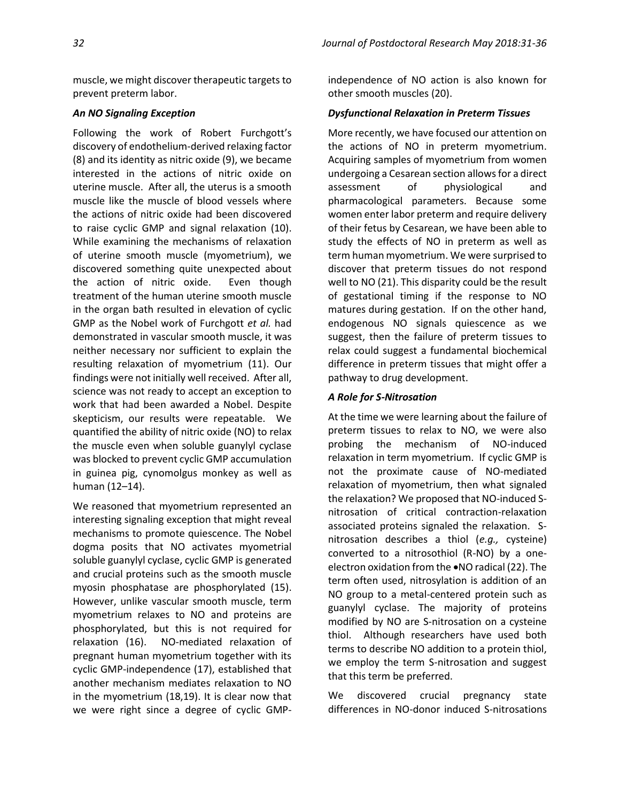### *An NO Signaling Exception*

Following the work of Robert Furchgott's discovery of endothelium-derived relaxing factor (8) and its identity as nitric oxide (9), we became interested in the actions of nitric oxide on uterine muscle. After all, the uterus is a smooth muscle like the muscle of blood vessels where the actions of nitric oxide had been discovered to raise cyclic GMP and signal relaxation (10). While examining the mechanisms of relaxation of uterine smooth muscle (myometrium), we discovered something quite unexpected about the action of nitric oxide. Even though treatment of the human uterine smooth muscle in the organ bath resulted in elevation of cyclic GMP as the Nobel work of Furchgott *et al.* had demonstrated in vascular smooth muscle, it was neither necessary nor sufficient to explain the resulting relaxation of myometrium (11). Our findings were not initially well received. After all, science was not ready to accept an exception to work that had been awarded a Nobel. Despite skepticism, our results were repeatable. We quantified the ability of nitric oxide (NO) to relax the muscle even when soluble guanylyl cyclase was blocked to prevent cyclic GMP accumulation in guinea pig, cynomolgus monkey as well as human (12–14).

We reasoned that myometrium represented an interesting signaling exception that might reveal mechanisms to promote quiescence. The Nobel dogma posits that NO activates myometrial soluble guanylyl cyclase, cyclic GMP is generated and crucial proteins such as the smooth muscle myosin phosphatase are phosphorylated (15). However, unlike vascular smooth muscle, term myometrium relaxes to NO and proteins are phosphorylated, but this is not required for relaxation (16). NO-mediated relaxation of pregnant human myometrium together with its cyclic GMP-independence (17), established that another mechanism mediates relaxation to NO in the myometrium (18,19). It is clear now that we were right since a degree of cyclic GMP-

independence of NO action is also known for other smooth muscles (20).

### *Dysfunctional Relaxation in Preterm Tissues*

More recently, we have focused our attention on the actions of NO in preterm myometrium. Acquiring samples of myometrium from women undergoing a Cesarean section allows for a direct assessment of physiological and pharmacological parameters. Because some women enter labor preterm and require delivery of their fetus by Cesarean, we have been able to study the effects of NO in preterm as well as term human myometrium. We were surprised to discover that preterm tissues do not respond well to NO (21). This disparity could be the result of gestational timing if the response to NO matures during gestation. If on the other hand, endogenous NO signals quiescence as we suggest, then the failure of preterm tissues to relax could suggest a fundamental biochemical difference in preterm tissues that might offer a pathway to drug development.

## *A Role for S-Nitrosation*

At the time we were learning about the failure of preterm tissues to relax to NO, we were also probing the mechanism of NO-induced relaxation in term myometrium. If cyclic GMP is not the proximate cause of NO-mediated relaxation of myometrium, then what signaled the relaxation? We proposed that NO-induced Snitrosation of critical contraction-relaxation associated proteins signaled the relaxation. Snitrosation describes a thiol (*e.g.,* cysteine) converted to a nitrosothiol (R-NO) by a oneelectron oxidation from the •NO radical (22). The term often used, nitrosylation is addition of an NO group to a metal-centered protein such as guanylyl cyclase. The majority of proteins modified by NO are S-nitrosation on a cysteine thiol. Although researchers have used both terms to describe NO addition to a protein thiol, we employ the term S-nitrosation and suggest that this term be preferred.

We discovered crucial pregnancy state differences in NO-donor induced S-nitrosations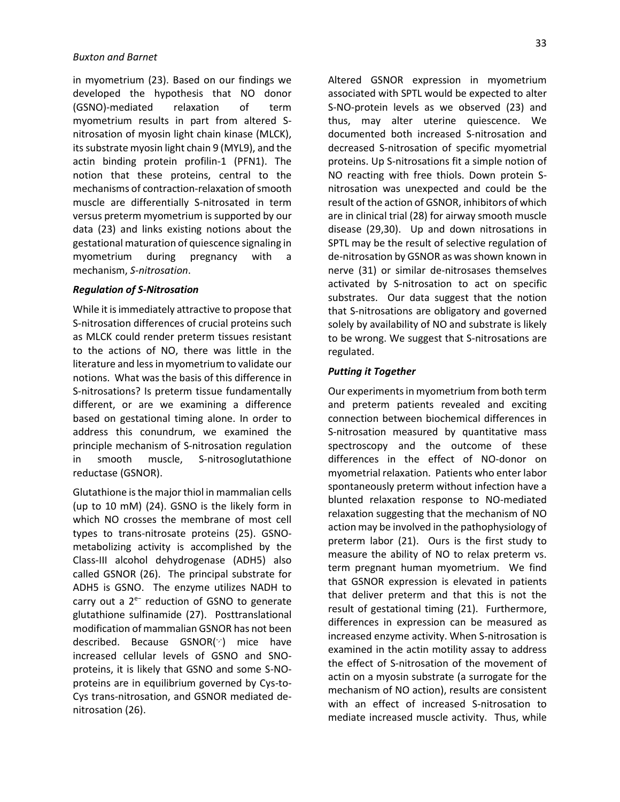in myometrium (23). Based on our findings we developed the hypothesis that NO donor (GSNO)-mediated relaxation of term myometrium results in part from altered Snitrosation of myosin light chain kinase (MLCK), its substrate myosin light chain 9 (MYL9), and the actin binding protein profilin-1 (PFN1). The notion that these proteins, central to the mechanisms of contraction-relaxation of smooth muscle are differentially S-nitrosated in term versus preterm myometrium is supported by our data (23) and links existing notions about the gestational maturation of quiescence signaling in myometrium during pregnancy with a mechanism, *S-nitrosation*.

#### *Regulation of S-Nitrosation*

While it is immediately attractive to propose that S-nitrosation differences of crucial proteins such as MLCK could render preterm tissues resistant to the actions of NO, there was little in the literature and less in myometrium to validate our notions. What was the basis of this difference in S-nitrosations? Is preterm tissue fundamentally different, or are we examining a difference based on gestational timing alone. In order to address this conundrum, we examined the principle mechanism of S-nitrosation regulation in smooth muscle, S-nitrosoglutathione reductase (GSNOR).

Glutathione is the major thiol in mammalian cells (up to 10 mM) (24). GSNO is the likely form in which NO crosses the membrane of most cell types to trans-nitrosate proteins (25). GSNOmetabolizing activity is accomplished by the Class-III alcohol dehydrogenase (ADH5) also called GSNOR (26). The principal substrate for ADH5 is GSNO. The enzyme utilizes NADH to carry out a 2e− reduction of GSNO to generate glutathione sulfinamide (27). Posttranslational modification of mammalian GSNOR has not been described. Because GSNOR( $\tau$ ) mice have increased cellular levels of GSNO and SNOproteins, it is likely that GSNO and some S-NOproteins are in equilibrium governed by Cys-to-Cys trans-nitrosation, and GSNOR mediated denitrosation (26).

Altered GSNOR expression in myometrium associated with SPTL would be expected to alter S-NO-protein levels as we observed (23) and thus, may alter uterine quiescence. We documented both increased S-nitrosation and decreased S-nitrosation of specific myometrial proteins. Up S-nitrosations fit a simple notion of NO reacting with free thiols. Down protein Snitrosation was unexpected and could be the result of the action of GSNOR, inhibitors of which are in clinical trial (28) for airway smooth muscle disease (29,30). Up and down nitrosations in SPTL may be the result of selective regulation of de-nitrosation by GSNOR as was shown known in nerve (31) or similar de-nitrosases themselves activated by S-nitrosation to act on specific substrates. Our data suggest that the notion that S-nitrosations are obligatory and governed solely by availability of NO and substrate is likely to be wrong. We suggest that S-nitrosations are regulated.

#### *Putting it Together*

Our experiments in myometrium from both term and preterm patients revealed and exciting connection between biochemical differences in S-nitrosation measured by quantitative mass spectroscopy and the outcome of these differences in the effect of NO-donor on myometrial relaxation. Patients who enter labor spontaneously preterm without infection have a blunted relaxation response to NO-mediated relaxation suggesting that the mechanism of NO action may be involved in the pathophysiology of preterm labor (21). Ours is the first study to measure the ability of NO to relax preterm vs. term pregnant human myometrium. We find that GSNOR expression is elevated in patients that deliver preterm and that this is not the result of gestational timing (21). Furthermore, differences in expression can be measured as increased enzyme activity. When S-nitrosation is examined in the actin motility assay to address the effect of S-nitrosation of the movement of actin on a myosin substrate (a surrogate for the mechanism of NO action), results are consistent with an effect of increased S-nitrosation to mediate increased muscle activity. Thus, while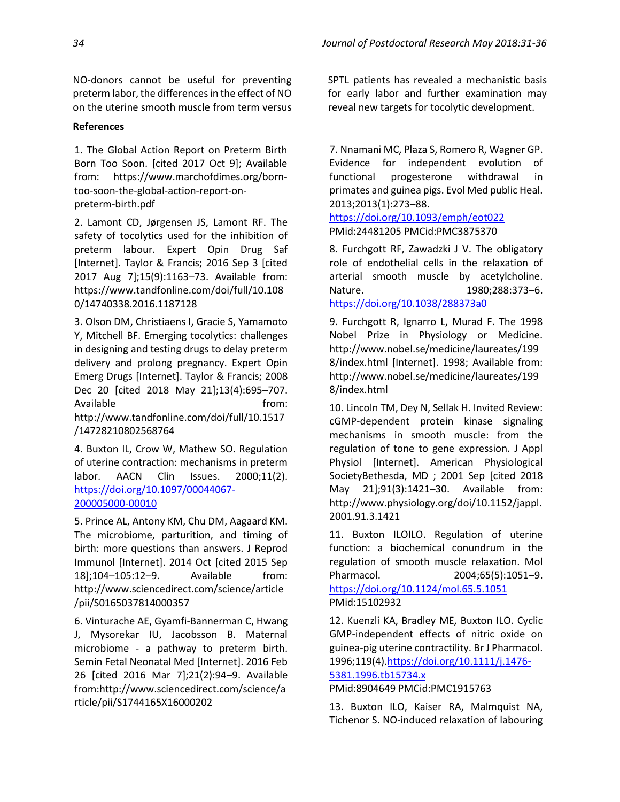NO-donors cannot be useful for preventing preterm labor, the differences in the effect of NO on the uterine smooth muscle from term versus

#### **References**

1. The Global Action Report on Preterm Birth Born Too Soon. [cited 2017 Oct 9]; Available from: https://www.marchofdimes.org/borntoo-soon-the-global-action-report-onpreterm-birth.pdf

2. Lamont CD, Jørgensen JS, Lamont RF. The safety of tocolytics used for the inhibition of preterm labour. Expert Opin Drug Saf [Internet]. Taylor & Francis; 2016 Sep 3 [cited 2017 Aug 7];15(9):1163–73. Available from: https://www.tandfonline.com/doi/full/10.108 0/14740338.2016.1187128

3. Olson DM, Christiaens I, Gracie S, Yamamoto Y, Mitchell BF. Emerging tocolytics: challenges in designing and testing drugs to delay preterm delivery and prolong pregnancy. Expert Opin Emerg Drugs [Internet]. Taylor & Francis; 2008 Dec 20 [cited 2018 May 21];13(4):695–707. Available **the contract of the contract of the contract of the contract of the contract of the contract of the contract of the contract of the contract of the contract of the contract of the contract of the contract of the** http://www.tandfonline.com/doi/full/10.1517 /14728210802568764

4. Buxton IL, Crow W, Mathew SO. Regulation of uterine contraction: mechanisms in preterm labor. AACN Clin Issues. 2000;11(2). [https://doi.org/10.1097/00044067-](https://doi.org/10.1097/00044067-200005000-00010) [200005000-00010](https://doi.org/10.1097/00044067-200005000-00010)

5. Prince AL, Antony KM, Chu DM, Aagaard KM. The microbiome, parturition, and timing of birth: more questions than answers. J Reprod Immunol [Internet]. 2014 Oct [cited 2015 Sep 18];104–105:12–9. Available from: http://www.sciencedirect.com/science/article /pii/S0165037814000357

6. Vinturache AE, Gyamfi-Bannerman C, Hwang J, Mysorekar IU, Jacobsson B. Maternal microbiome - a pathway to preterm birth. Semin Fetal Neonatal Med [Internet]. 2016 Feb 26 [cited 2016 Mar 7];21(2):94–9. Available from:http://www.sciencedirect.com/science/a rticle/pii/S1744165X16000202

SPTL patients has revealed a mechanistic basis for early labor and further examination may reveal new targets for tocolytic development.

7. Nnamani MC, Plaza S, Romero R, Wagner GP. Evidence for independent evolution of functional progesterone withdrawal in primates and guinea pigs. Evol Med public Heal. 2013;2013(1):273–88.

<https://doi.org/10.1093/emph/eot022> PMid:24481205 PMCid:PMC3875370

8. Furchgott RF, Zawadzki J V. The obligatory role of endothelial cells in the relaxation of arterial smooth muscle by acetylcholine. Nature. 1980;288:373–6. <https://doi.org/10.1038/288373a0>

9. Furchgott R, Ignarro L, Murad F. The 1998 Nobel Prize in Physiology or Medicine. http://www.nobel.se/medicine/laureates/199 8/index.html [Internet]. 1998; Available from: http://www.nobel.se/medicine/laureates/199 8/index.html

10. Lincoln TM, Dey N, Sellak H. Invited Review: cGMP-dependent protein kinase signaling mechanisms in smooth muscle: from the regulation of tone to gene expression. J Appl Physiol [Internet]. American Physiological SocietyBethesda, MD ; 2001 Sep [cited 2018 May 21];91(3):1421–30. Available from: http://www.physiology.org/doi/10.1152/jappl. 2001.91.3.1421

11. Buxton ILOILO. Regulation of uterine function: a biochemical conundrum in the regulation of smooth muscle relaxation. Mol Pharmacol. 2004;65(5):1051–9. <https://doi.org/10.1124/mol.65.5.1051> PMid:15102932

12. Kuenzli KA, Bradley ME, Buxton ILO. Cyclic GMP-independent effects of nitric oxide on guinea-pig uterine contractility. Br J Pharmacol. 1996;119(4).https://doi.org/10.1111/j.1476- 5381.1996.tb15734.x

PMid:8904649 PMCid:PMC1915763

13. Buxton ILO, Kaiser RA, Malmquist NA, Tichenor S. NO-induced relaxation of labouring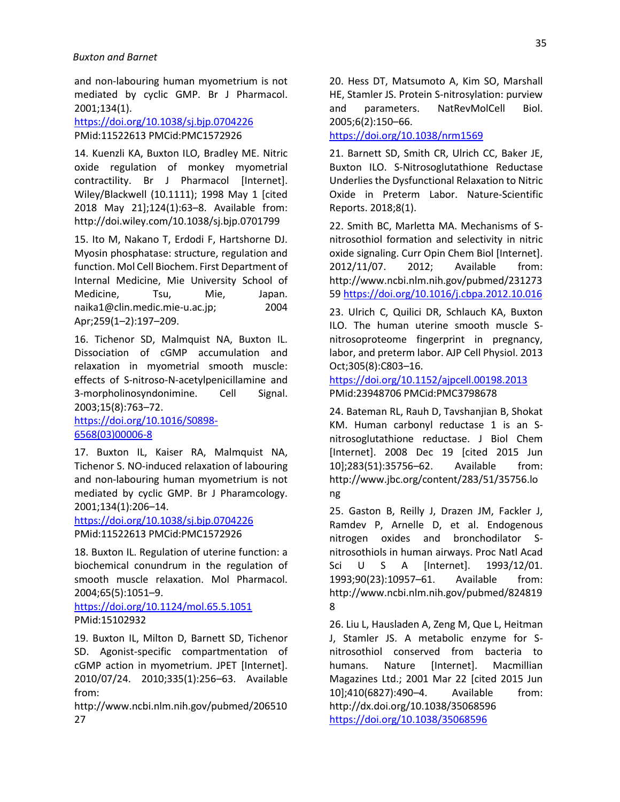and non-labouring human myometrium is not mediated by cyclic GMP. Br J Pharmacol. 2001;134(1).

<https://doi.org/10.1038/sj.bjp.0704226> PMid:11522613 PMCid:PMC1572926

14. Kuenzli KA, Buxton ILO, Bradley ME. Nitric oxide regulation of monkey myometrial contractility. Br J Pharmacol [Internet]. Wiley/Blackwell (10.1111); 1998 May 1 [cited 2018 May 21];124(1):63–8. Available from: http://doi.wiley.com/10.1038/sj.bjp.0701799

15. Ito M, Nakano T, Erdodi F, Hartshorne DJ. Myosin phosphatase: structure, regulation and function. Mol Cell Biochem. First Department of Internal Medicine, Mie University School of Medicine, Tsu, Mie, Japan. naika1@clin.medic.mie-u.ac.jp; 2004 Apr;259(1–2):197–209.

16. Tichenor SD, Malmquist NA, Buxton IL. Dissociation of cGMP accumulation and relaxation in myometrial smooth muscle: effects of S-nitroso-N-acetylpenicillamine and 3-morpholinosyndonimine. Cell Signal. 2003;15(8):763–72.

[https://doi.org/10.1016/S0898-](https://doi.org/10.1016/S0898-6568(03)00006-8) [6568\(03\)00006-8](https://doi.org/10.1016/S0898-6568(03)00006-8)

17. Buxton IL, Kaiser RA, Malmquist NA, Tichenor S. NO-induced relaxation of labouring and non-labouring human myometrium is not mediated by cyclic GMP. Br J Pharamcology. 2001;134(1):206–14.

<https://doi.org/10.1038/sj.bjp.0704226> PMid:11522613 PMCid:PMC1572926

18. Buxton IL. Regulation of uterine function: a biochemical conundrum in the regulation of smooth muscle relaxation. Mol Pharmacol. 2004;65(5):1051–9.

<https://doi.org/10.1124/mol.65.5.1051> PMid:15102932

19. Buxton IL, Milton D, Barnett SD, Tichenor SD. Agonist-specific compartmentation of cGMP action in myometrium. JPET [Internet]. 2010/07/24. 2010;335(1):256–63. Available from:

http://www.ncbi.nlm.nih.gov/pubmed/206510 27

20. Hess DT, Matsumoto A, Kim SO, Marshall HE, Stamler JS. Protein S-nitrosylation: purview and parameters. NatRevMolCell Biol. 2005;6(2):150–66.

<https://doi.org/10.1038/nrm1569>

21. Barnett SD, Smith CR, Ulrich CC, Baker JE, Buxton ILO. S-Nitrosoglutathione Reductase Underlies the Dysfunctional Relaxation to Nitric Oxide in Preterm Labor. Nature-Scientific Reports. 2018;8(1).

22. Smith BC, Marletta MA. Mechanisms of Snitrosothiol formation and selectivity in nitric oxide signaling. Curr Opin Chem Biol [Internet]. 2012/11/07. 2012; Available from: http://www.ncbi.nlm.nih.gov/pubmed/231273 59 https://doi.org/10.1016/j.cbpa.2012.10.016

23. Ulrich C, Quilici DR, Schlauch KA, Buxton ILO. The human uterine smooth muscle Snitrosoproteome fingerprint in pregnancy, labor, and preterm labor. AJP Cell Physiol. 2013 Oct;305(8):C803–16.

<https://doi.org/10.1152/ajpcell.00198.2013> PMid:23948706 PMCid:PMC3798678

24. Bateman RL, Rauh D, Tavshanjian B, Shokat KM. Human carbonyl reductase 1 is an Snitrosoglutathione reductase. J Biol Chem [Internet]. 2008 Dec 19 [cited 2015 Jun 10];283(51):35756–62. Available from: http://www.jbc.org/content/283/51/35756.lo ng

25. Gaston B, Reilly J, Drazen JM, Fackler J, Ramdev P, Arnelle D, et al. Endogenous nitrogen oxides and bronchodilator Snitrosothiols in human airways. Proc Natl Acad Sci U S A [Internet]. 1993/12/01. 1993;90(23):10957–61. Available from: http://www.ncbi.nlm.nih.gov/pubmed/824819 8

26. Liu L, Hausladen A, Zeng M, Que L, Heitman J, Stamler JS. A metabolic enzyme for Snitrosothiol conserved from bacteria to humans. Nature [Internet]. Macmillian Magazines Ltd.; 2001 Mar 22 [cited 2015 Jun 10];410(6827):490–4. Available from: http://dx.doi.org/10.1038/35068596 <https://doi.org/10.1038/35068596>